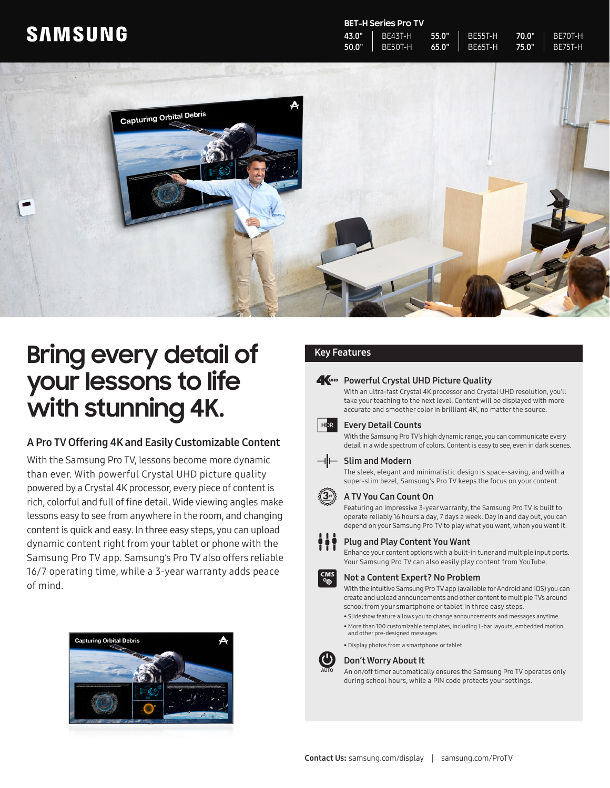## **SAMSUNG**

#### **BET-H Series Pro TV**

| 43.0" | 1 BE43T-H 55.0"   BE55T-H 70.0"       |  | $R$ BF70T-H    |
|-------|---------------------------------------|--|----------------|
|       | 50.0"   BE50T-H 65.0"   BE65T-H 75.0" |  | <b>BE75T-H</b> |



# **Bring every detail of your lessons to life with stunning 4K.**

#### A Pro TV Offering 4K and Easily Customizable Content

With the Samsung Pro TV, lessons become more dynamic than ever. With powerful Crystal UHD picture quality powered by a Crystal 4K processor, every piece of content is rich, colorful and full of fine detail. Wide viewing angles make lessons easy to see from anywhere in the room, and changing content is quick and easy. In three easy steps, you can upload dynamic content right from your tablet or phone with the Samsung Pro TV app. Samsung's Pro TV also offers reliable 16/7 operating time, while a 3-year warranty adds peace of mind.



### Key Features

#### **A**UHD Powerful Crystal UHD Picture Quality

With an ultra-fast Crystal 4K processor and Crystal UHD resolution, you'll take your teaching to the next level. Content will be displayed with more accurate and smoother color in brilliant 4K, no matter the source.



#### Every Detail Counts

With the Samsung Pro TV's high dynamic range, you can communicate every detail in a wide spectrum of colors. Content is easy to see, even in dark scenes.

#### $\neg$ | Slim and Modern

The sleek, elegant and minimalistic design is space-saving, and with a super-slim bezel, Samsung's Pro TV keeps the focus on your content.

#### A TV You Can Count On

Featuring an impressive 3-year warranty, the Samsung Pro TV is built to operate reliably 16 hours a day, 7 days a week. Day in and day out, you can depend on your Samsung Pro TV to play what you want, when you want it.

#### Plug and Play Content You Want

Enhance your content options with a built-in tuner and multiple input ports. Your Samsung Pro TV can also easily play content from YouTube.

#### Not a Content Expert? No Problem

With the intuitive Samsung Pro TV app (available for Android and iOS) you can create and upload announcements and other content to multiple TVs around school from your smartphone or tablet in three easy steps.

- Slideshow feature allows you to change announcements and messages anytime.
- More than 100 customizable templates, including L-bar layouts, embedded motion, and other pre-designed messages.
- Display photos from a smartphone or tablet.



#### Don't Worry About It

An on/off timer automatically ensures the Samsung Pro TV operates only during school hours, while a PIN code protects your settings.